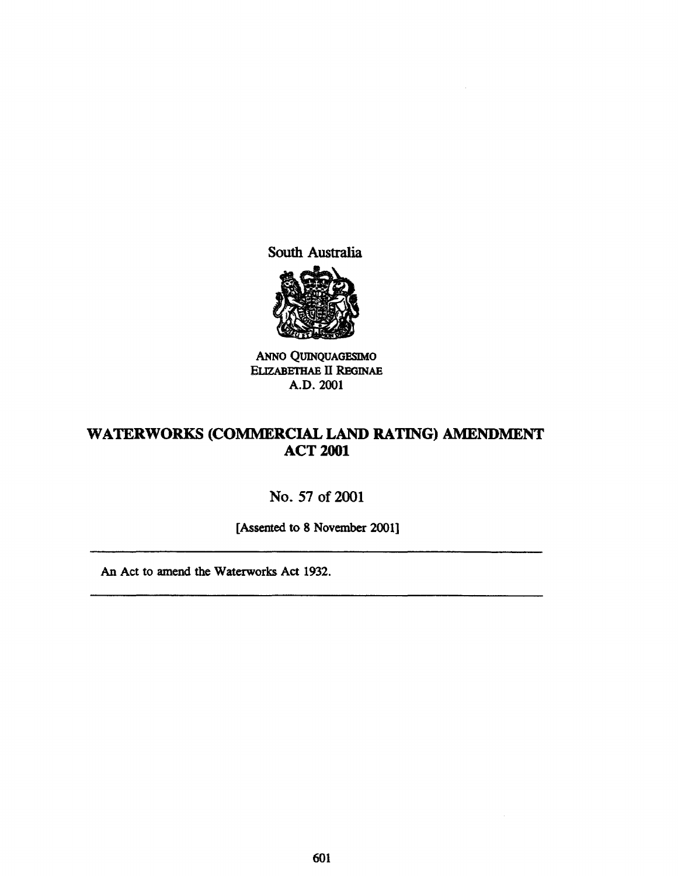South Australia



ANNO QUINQUAGESIMO ELIZABETHAE II REGINAE A.D.2001

## WATERWORKS (COMMERCIAL LAND RATING) AMENDMENT ACT 2001

## No. 57 of 2001

[Assented to 8 November 2001]

An Act to amend the Waterworks Act 1932.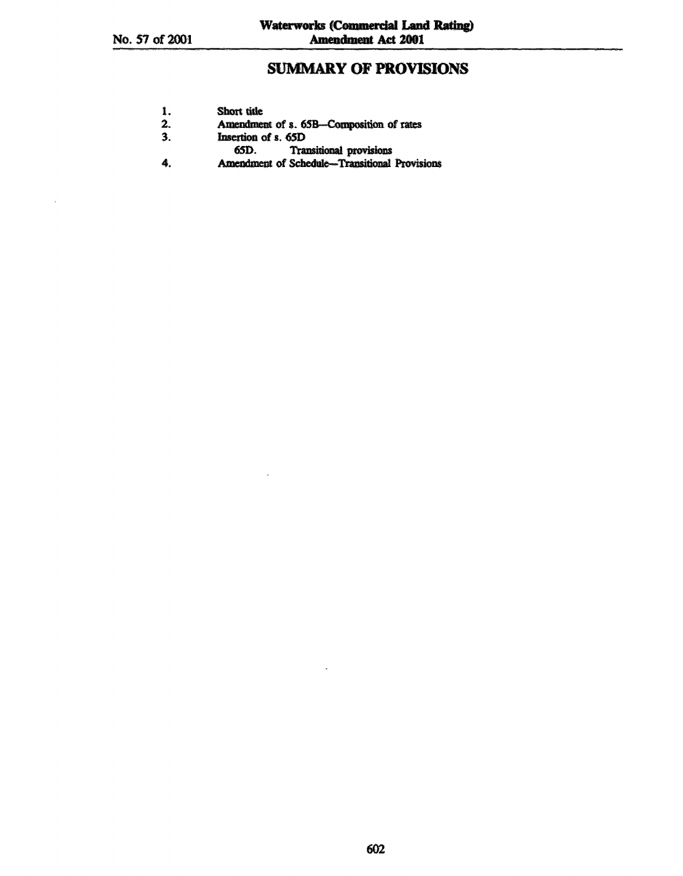# **SUMMARY OF PROVISIONS**

| 1. | Short title |  |
|----|-------------|--|
|    |             |  |
|    |             |  |

- Amendment of s. 65B-Composition of rates  $2.$
- $3.$ Insertion of s. 65D
	-
- 65D. Transitional provisions<br>Amendment of Schedule-Transitional Provisions 4.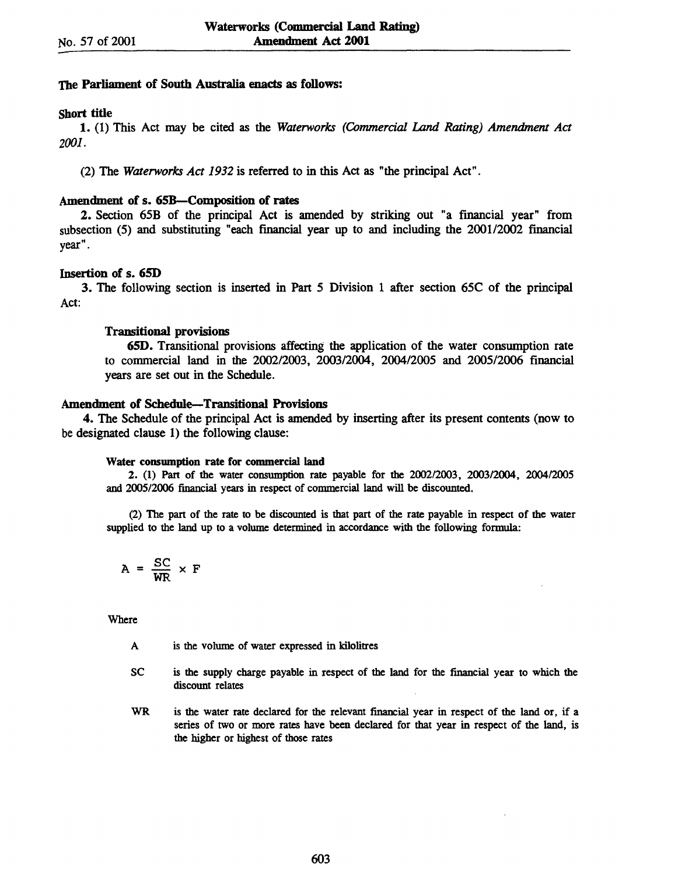### The Parliament of South Australia enacts as follows:

### Short tide

1. (1) This Act may be cited as the *Waterworks' (Commercial Land Rating) Amendment Act 2001.* 

(2) The *Waterworks' Act* 1932 is referred to in this Act as "the principal Act".

#### Amendment of s. 65B-Composition of rates

2. Section 65B of the principal Act is amended by striking out "a financial year" from subsection (5) and substituting "each financial year up to and including the 2001/2002 financial year".

### Insertion of s. 65D

3. The following section is inserted in Part 5 Division 1 after section 65C of the principal Act:

#### Transitional provisions

65D. Transitional provisions affecting the application of the water consumption rate to commercial land in the 200212003, *2003/2004,* 200412005 and 2005/2006 financial years are set out in the Schedule.

#### Amendment of Schedule-Transitional Provisions

4. The Schedule of the principal Act is amended by inserting after its present contents (now to be designated clause 1) the following clause:

#### Water conswnption rate for commercial land

2. (1) Part of the water consumption rate payable for the 2002/2003, 2003/2004, 2004/2005 and 2005/2006 financial years in respect of commercial land will be discounted.

(2) The part of the rate to be discounted is that part of the rate payable in respect of the water supplied to the land up to a volume determined in accordance with the following formula:

$$
A = \frac{SC}{WR} \times F
$$

Where

A is the volume of water expressed in kilolitres

- se is the supply charge payable in respect of the land for the financial year to which the discount relates
- WR is the water rate declared for the relevant financial year in respect of the land or, if a series of two or more rates have been declared for that year in respect of the land, is the higher or highest of those rates